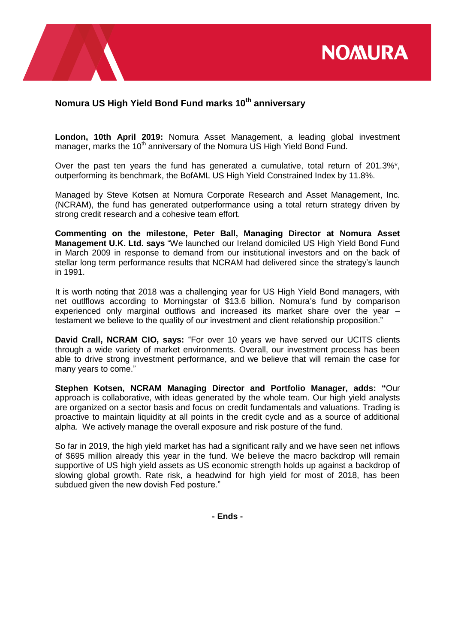

## **Nomura US High Yield Bond Fund marks 10th anniversary**

**London, 10th April 2019:** Nomura Asset Management, a leading global investment manager, marks the 10<sup>th</sup> anniversary of the Nomura US High Yield Bond Fund.

Over the past ten years the fund has generated a cumulative, total return of 201.3%\*, outperforming its benchmark, the BofAML US High Yield Constrained Index by 11.8%.

Managed by Steve Kotsen at Nomura Corporate Research and Asset Management, Inc. (NCRAM), the fund has generated outperformance using a total return strategy driven by strong credit research and a cohesive team effort.

**Commenting on the milestone, Peter Ball, Managing Director at Nomura Asset Management U.K. Ltd. says** "We launched our Ireland domiciled US High Yield Bond Fund in March 2009 in response to demand from our institutional investors and on the back of stellar long term performance results that NCRAM had delivered since the strategy's launch in 1991.

It is worth noting that 2018 was a challenging year for US High Yield Bond managers, with net outlflows according to Morningstar of \$13.6 billion. Nomura's fund by comparison experienced only marginal outflows and increased its market share over the year – testament we believe to the quality of our investment and client relationship proposition."

**David Crall, NCRAM CIO, says:** "For over 10 years we have served our UCITS clients through a wide variety of market environments. Overall, our investment process has been able to drive strong investment performance, and we believe that will remain the case for many years to come."

**Stephen Kotsen, NCRAM Managing Director and Portfolio Manager, adds: "**Our approach is collaborative, with ideas generated by the whole team. Our high yield analysts are organized on a sector basis and focus on credit fundamentals and valuations. Trading is proactive to maintain liquidity at all points in the credit cycle and as a source of additional alpha. We actively manage the overall exposure and risk posture of the fund.

So far in 2019, the high yield market has had a significant rally and we have seen net inflows of \$695 million already this year in the fund. We believe the macro backdrop will remain supportive of US high yield assets as US economic strength holds up against a backdrop of slowing global growth. Rate risk, a headwind for high yield for most of 2018, has been subdued given the new dovish Fed posture."

**- Ends -**